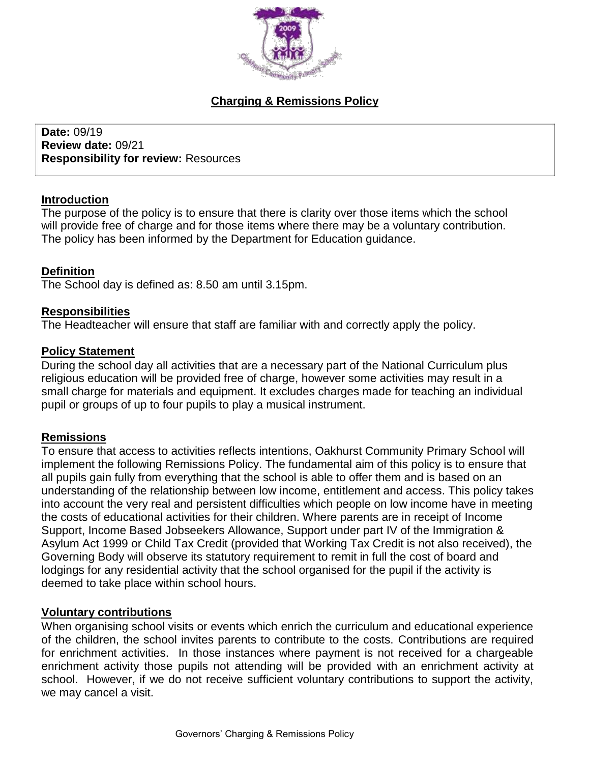

# **Charging & Remissions Policy**

**Date:** 09/19 **Review date:** 09/21 **Responsibility for review:** Resources

#### **Introduction**

The purpose of the policy is to ensure that there is clarity over those items which the school will provide free of charge and for those items where there may be a voluntary contribution. The policy has been informed by the Department for Education guidance.

### **Definition**

The School day is defined as: 8.50 am until 3.15pm.

#### **Responsibilities**

The Headteacher will ensure that staff are familiar with and correctly apply the policy.

#### **Policy Statement**

During the school day all activities that are a necessary part of the National Curriculum plus religious education will be provided free of charge, however some activities may result in a small charge for materials and equipment. It excludes charges made for teaching an individual pupil or groups of up to four pupils to play a musical instrument.

### **Remissions**

To ensure that access to activities reflects intentions, Oakhurst Community Primary School will implement the following Remissions Policy. The fundamental aim of this policy is to ensure that all pupils gain fully from everything that the school is able to offer them and is based on an understanding of the relationship between low income, entitlement and access. This policy takes into account the very real and persistent difficulties which people on low income have in meeting the costs of educational activities for their children. Where parents are in receipt of Income Support, Income Based Jobseekers Allowance, Support under part IV of the Immigration & Asylum Act 1999 or Child Tax Credit (provided that Working Tax Credit is not also received), the Governing Body will observe its statutory requirement to remit in full the cost of board and lodgings for any residential activity that the school organised for the pupil if the activity is deemed to take place within school hours.

#### **Voluntary contributions**

When organising school visits or events which enrich the curriculum and educational experience of the children, the school invites parents to contribute to the costs. Contributions are required for enrichment activities. In those instances where payment is not received for a chargeable enrichment activity those pupils not attending will be provided with an enrichment activity at school. However, if we do not receive sufficient voluntary contributions to support the activity, we may cancel a visit.